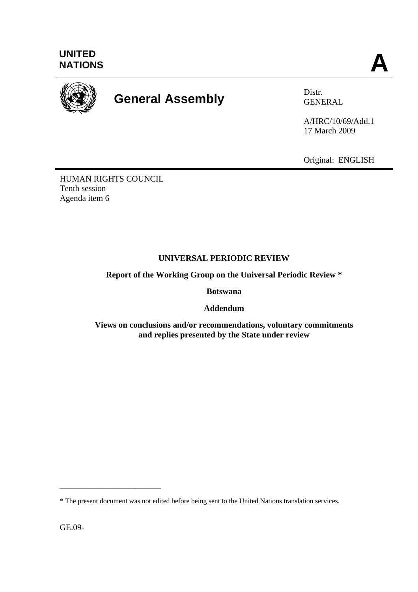

# **General Assembly** Distr.

GENERAL

A/HRC/10/69/Add.1 17 March 2009

Original: ENGLISH

HUMAN RIGHTS COUNCIL Tenth session Agenda item 6

## **UNIVERSAL PERIODIC REVIEW**

**Report of the Working Group on the Universal Periodic Review \*** 

**Botswana** 

**Addendum** 

**Views on conclusions and/or recommendations, voluntary commitments and replies presented by the State under review** 

GE.09-

\_\_\_\_\_\_\_\_\_\_\_\_\_\_\_\_\_\_\_\_\_\_\_\_

<sup>\*</sup> The present document was not edited before being sent to the United Nations translation services.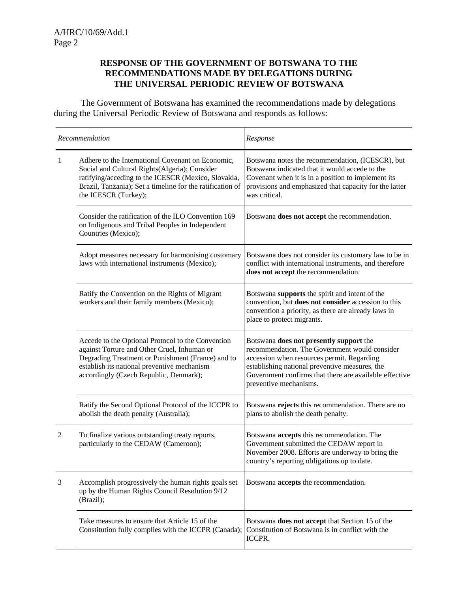#### **RESPONSE OF THE GOVERNMENT OF BOTSWANA TO THE RECOMMENDATIONS MADE BY DELEGATIONS DURING THE UNIVERSAL PERIODIC REVIEW OF BOTSWANA**

 The Government of Botswana has examined the recommendations made by delegations during the Universal Periodic Review of Botswana and responds as follows:

| Recommendation |                                                                                                                                                                                                                                                | Response                                                                                                                                                                                                                                                                     |
|----------------|------------------------------------------------------------------------------------------------------------------------------------------------------------------------------------------------------------------------------------------------|------------------------------------------------------------------------------------------------------------------------------------------------------------------------------------------------------------------------------------------------------------------------------|
| 1              | Adhere to the International Covenant on Economic,<br>Social and Cultural Rights(Algeria); Consider<br>ratifying/acceding to the ICESCR (Mexico, Slovakia,<br>Brazil, Tanzania); Set a timeline for the ratification of<br>the ICESCR (Turkey); | Botswana notes the recommendation, (ICESCR), but<br>Botswana indicated that it would accede to the<br>Covenant when it is in a position to implement its<br>provisions and emphasized that capacity for the latter<br>was critical.                                          |
|                | Consider the ratification of the ILO Convention 169<br>on Indigenous and Tribal Peoples in Independent<br>Countries (Mexico);                                                                                                                  | Botswana does not accept the recommendation.                                                                                                                                                                                                                                 |
|                | Adopt measures necessary for harmonising customary<br>laws with international instruments (Mexico);                                                                                                                                            | Botswana does not consider its customary law to be in<br>conflict with international instruments, and therefore<br>does not accept the recommendation.                                                                                                                       |
|                | Ratify the Convention on the Rights of Migrant<br>workers and their family members (Mexico);                                                                                                                                                   | Botswana supports the spirit and intent of the<br>convention, but does not consider accession to this<br>convention a priority, as there are already laws in<br>place to protect migrants.                                                                                   |
|                | Accede to the Optional Protocol to the Convention<br>against Torture and Other Cruel, Inhuman or<br>Degrading Treatment or Punishment (France) and to<br>establish its national preventive mechanism<br>accordingly (Czech Republic, Denmark); | Botswana does not presently support the<br>recommendation. The Government would consider<br>accession when resources permit. Regarding<br>establishing national preventive measures, the<br>Government confirms that there are available effective<br>preventive mechanisms. |
|                | Ratify the Second Optional Protocol of the ICCPR to<br>abolish the death penalty (Australia);                                                                                                                                                  | Botswana rejects this recommendation. There are no<br>plans to abolish the death penalty.                                                                                                                                                                                    |
| 2              | To finalize various outstanding treaty reports,<br>particularly to the CEDAW (Cameroon);                                                                                                                                                       | Botswana <b>accepts</b> this recommendation. The<br>Government submitted the CEDAW report in<br>November 2008. Efforts are underway to bring the<br>country's reporting obligations up to date.                                                                              |
| 3              | Accomplish progressively the human rights goals set<br>up by the Human Rights Council Resolution 9/12<br>(Brazil);                                                                                                                             | Botswana accepts the recommendation.                                                                                                                                                                                                                                         |
|                | Take measures to ensure that Article 15 of the<br>Constitution fully complies with the ICCPR (Canada);                                                                                                                                         | Botswana does not accept that Section 15 of the<br>Constitution of Botswana is in conflict with the<br>ICCPR.                                                                                                                                                                |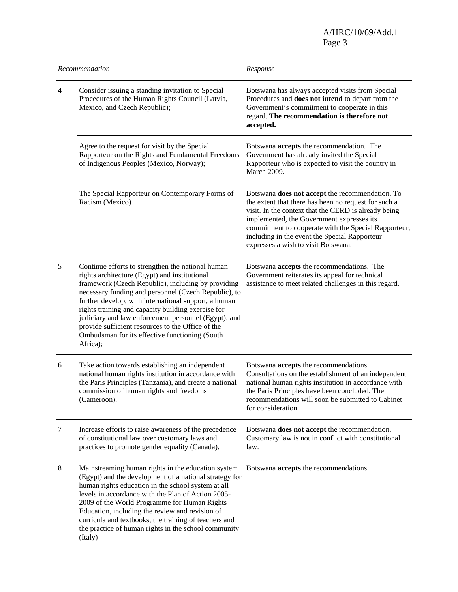A/HRC/10/69/Add.1<br>Page 3 Page 3

| Recommendation |                                                                                                                                                                                                                                                                                                                                                                                                                                                                                                           | Response                                                                                                                                                                                                                                                                                                                                                     |
|----------------|-----------------------------------------------------------------------------------------------------------------------------------------------------------------------------------------------------------------------------------------------------------------------------------------------------------------------------------------------------------------------------------------------------------------------------------------------------------------------------------------------------------|--------------------------------------------------------------------------------------------------------------------------------------------------------------------------------------------------------------------------------------------------------------------------------------------------------------------------------------------------------------|
| 4              | Consider issuing a standing invitation to Special<br>Procedures of the Human Rights Council (Latvia,<br>Mexico, and Czech Republic);                                                                                                                                                                                                                                                                                                                                                                      | Botswana has always accepted visits from Special<br>Procedures and does not intend to depart from the<br>Government's commitment to cooperate in this<br>regard. The recommendation is therefore not<br>accepted.                                                                                                                                            |
|                | Agree to the request for visit by the Special<br>Rapporteur on the Rights and Fundamental Freedoms<br>of Indigenous Peoples (Mexico, Norway);                                                                                                                                                                                                                                                                                                                                                             | Botswana accepts the recommendation. The<br>Government has already invited the Special<br>Rapporteur who is expected to visit the country in<br>March 2009.                                                                                                                                                                                                  |
|                | The Special Rapporteur on Contemporary Forms of<br>Racism (Mexico)                                                                                                                                                                                                                                                                                                                                                                                                                                        | Botswana does not accept the recommendation. To<br>the extent that there has been no request for such a<br>visit. In the context that the CERD is already being<br>implemented, the Government expresses its<br>commitment to cooperate with the Special Rapporteur,<br>including in the event the Special Rapporteur<br>expresses a wish to visit Botswana. |
| 5              | Continue efforts to strengthen the national human<br>rights architecture (Egypt) and institutional<br>framework (Czech Republic), including by providing<br>necessary funding and personnel (Czech Republic), to<br>further develop, with international support, a human<br>rights training and capacity building exercise for<br>judiciary and law enforcement personnel (Egypt); and<br>provide sufficient resources to the Office of the<br>Ombudsman for its effective functioning (South<br>Africa); | Botswana accepts the recommendations. The<br>Government reiterates its appeal for technical<br>assistance to meet related challenges in this regard.                                                                                                                                                                                                         |
| 6              | Take action towards establishing an independent<br>national human rights institution in accordance with<br>the Paris Principles (Tanzania), and create a national<br>commission of human rights and freedoms<br>(Cameroon).                                                                                                                                                                                                                                                                               | Botswana accepts the recommendations.<br>Consultations on the establishment of an independent<br>national human rights institution in accordance with<br>the Paris Principles have been concluded. The<br>recommendations will soon be submitted to Cabinet<br>for consideration.                                                                            |
| 7              | Increase efforts to raise awareness of the precedence<br>of constitutional law over customary laws and<br>practices to promote gender equality (Canada).                                                                                                                                                                                                                                                                                                                                                  | Botswana does not accept the recommendation.<br>Customary law is not in conflict with constitutional<br>law.                                                                                                                                                                                                                                                 |
| $8\,$          | Mainstreaming human rights in the education system<br>(Egypt) and the development of a national strategy for<br>human rights education in the school system at all<br>levels in accordance with the Plan of Action 2005-<br>2009 of the World Programme for Human Rights<br>Education, including the review and revision of<br>curricula and textbooks, the training of teachers and<br>the practice of human rights in the school community<br>(Italy)                                                   | Botswana accepts the recommendations.                                                                                                                                                                                                                                                                                                                        |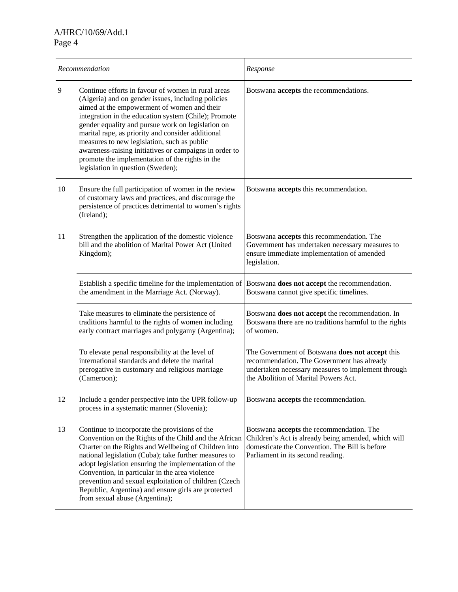| Recommendation |                                                                                                                                                                                                                                                                                                                                                                                                                                                                                                                            | Response                                                                                                                                                                                    |
|----------------|----------------------------------------------------------------------------------------------------------------------------------------------------------------------------------------------------------------------------------------------------------------------------------------------------------------------------------------------------------------------------------------------------------------------------------------------------------------------------------------------------------------------------|---------------------------------------------------------------------------------------------------------------------------------------------------------------------------------------------|
| 9              | Continue efforts in favour of women in rural areas<br>(Algeria) and on gender issues, including policies<br>aimed at the empowerment of women and their<br>integration in the education system (Chile); Promote<br>gender equality and pursue work on legislation on<br>marital rape, as priority and consider additional<br>measures to new legislation, such as public<br>awareness-raising initiatives or campaigns in order to<br>promote the implementation of the rights in the<br>legislation in question (Sweden); | Botswana accepts the recommendations.                                                                                                                                                       |
| 10             | Ensure the full participation of women in the review<br>of customary laws and practices, and discourage the<br>persistence of practices detrimental to women's rights<br>(Ireland);                                                                                                                                                                                                                                                                                                                                        | Botswana accepts this recommendation.                                                                                                                                                       |
| 11             | Strengthen the application of the domestic violence<br>bill and the abolition of Marital Power Act (United<br>Kingdom);                                                                                                                                                                                                                                                                                                                                                                                                    | Botswana accepts this recommendation. The<br>Government has undertaken necessary measures to<br>ensure immediate implementation of amended<br>legislation.                                  |
|                | Establish a specific timeline for the implementation of<br>the amendment in the Marriage Act. (Norway).                                                                                                                                                                                                                                                                                                                                                                                                                    | Botswana does not accept the recommendation.<br>Botswana cannot give specific timelines.                                                                                                    |
|                | Take measures to eliminate the persistence of<br>traditions harmful to the rights of women including<br>early contract marriages and polygamy (Argentina);                                                                                                                                                                                                                                                                                                                                                                 | Botswana does not accept the recommendation. In<br>Botswana there are no traditions harmful to the rights<br>of women.                                                                      |
|                | To elevate penal responsibility at the level of<br>international standards and delete the marital<br>prerogative in customary and religious marriage<br>(Cameroon);                                                                                                                                                                                                                                                                                                                                                        | The Government of Botswana does not accept this<br>recommendation. The Government has already<br>undertaken necessary measures to implement through<br>the Abolition of Marital Powers Act. |
| 12             | Include a gender perspective into the UPR follow-up<br>process in a systematic manner (Slovenia);                                                                                                                                                                                                                                                                                                                                                                                                                          | Botswana accepts the recommendation.                                                                                                                                                        |
| 13             | Continue to incorporate the provisions of the<br>Convention on the Rights of the Child and the African<br>Charter on the Rights and Wellbeing of Children into<br>national legislation (Cuba); take further measures to<br>adopt legislation ensuring the implementation of the<br>Convention, in particular in the area violence<br>prevention and sexual exploitation of children (Czech<br>Republic, Argentina) and ensure girls are protected<br>from sexual abuse (Argentina);                                        | Botswana accepts the recommendation. The<br>Children's Act is already being amended, which will<br>domesticate the Convention. The Bill is before<br>Parliament in its second reading.      |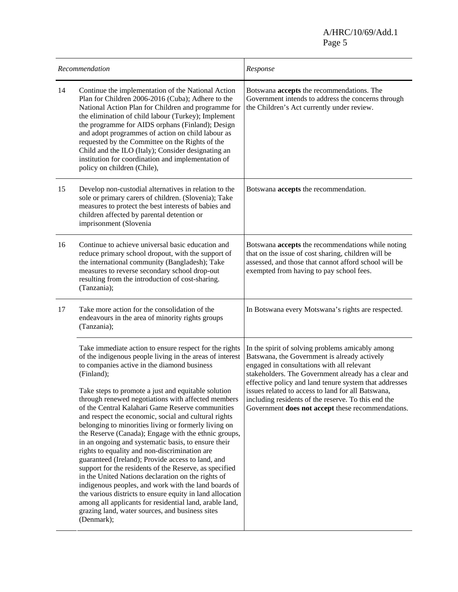| Recommendation |                                                                                                                                                                                                                                                                                                                                                                                                                                                                                                                                                                                                                                                                                                                                                                                                                                                                                                                                                                                                                                                        | Response                                                                                                                                                                                                                                                                                                                                                                                                                           |
|----------------|--------------------------------------------------------------------------------------------------------------------------------------------------------------------------------------------------------------------------------------------------------------------------------------------------------------------------------------------------------------------------------------------------------------------------------------------------------------------------------------------------------------------------------------------------------------------------------------------------------------------------------------------------------------------------------------------------------------------------------------------------------------------------------------------------------------------------------------------------------------------------------------------------------------------------------------------------------------------------------------------------------------------------------------------------------|------------------------------------------------------------------------------------------------------------------------------------------------------------------------------------------------------------------------------------------------------------------------------------------------------------------------------------------------------------------------------------------------------------------------------------|
| 14             | Continue the implementation of the National Action<br>Plan for Children 2006-2016 (Cuba); Adhere to the<br>National Action Plan for Children and programme for<br>the elimination of child labour (Turkey); Implement<br>the programme for AIDS orphans (Finland); Design<br>and adopt programmes of action on child labour as<br>requested by the Committee on the Rights of the<br>Child and the ILO (Italy); Consider designating an<br>institution for coordination and implementation of<br>policy on children (Chile),                                                                                                                                                                                                                                                                                                                                                                                                                                                                                                                           | Botswana accepts the recommendations. The<br>Government intends to address the concerns through<br>the Children's Act currently under review.                                                                                                                                                                                                                                                                                      |
| 15             | Develop non-custodial alternatives in relation to the<br>sole or primary carers of children. (Slovenia); Take<br>measures to protect the best interests of babies and<br>children affected by parental detention or<br>imprisonment (Slovenia                                                                                                                                                                                                                                                                                                                                                                                                                                                                                                                                                                                                                                                                                                                                                                                                          | Botswana accepts the recommendation.                                                                                                                                                                                                                                                                                                                                                                                               |
| 16             | Continue to achieve universal basic education and<br>reduce primary school dropout, with the support of<br>the international community (Bangladesh); Take<br>measures to reverse secondary school drop-out<br>resulting from the introduction of cost-sharing.<br>(Tanzania);                                                                                                                                                                                                                                                                                                                                                                                                                                                                                                                                                                                                                                                                                                                                                                          | Botswana accepts the recommendations while noting<br>that on the issue of cost sharing, children will be<br>assessed, and those that cannot afford school will be<br>exempted from having to pay school fees.                                                                                                                                                                                                                      |
| 17             | Take more action for the consolidation of the<br>endeavours in the area of minority rights groups<br>(Tanzania);                                                                                                                                                                                                                                                                                                                                                                                                                                                                                                                                                                                                                                                                                                                                                                                                                                                                                                                                       | In Botswana every Motswana's rights are respected.                                                                                                                                                                                                                                                                                                                                                                                 |
|                | Take immediate action to ensure respect for the rights<br>of the indigenous people living in the areas of interest<br>to companies active in the diamond business<br>(Finland);<br>Take steps to promote a just and equitable solution<br>through renewed negotiations with affected members<br>of the Central Kalahari Game Reserve communities<br>and respect the economic, social and cultural rights<br>belonging to minorities living or formerly living on<br>the Reserve (Canada); Engage with the ethnic groups,<br>in an ongoing and systematic basis, to ensure their<br>rights to equality and non-discrimination are<br>guaranteed (Ireland); Provide access to land, and<br>support for the residents of the Reserve, as specified<br>in the United Nations declaration on the rights of<br>indigenous peoples, and work with the land boards of<br>the various districts to ensure equity in land allocation<br>among all applicants for residential land, arable land,<br>grazing land, water sources, and business sites<br>(Denmark); | In the spirit of solving problems amicably among<br>Batswana, the Government is already actively<br>engaged in consultations with all relevant<br>stakeholders. The Government already has a clear and<br>effective policy and land tenure system that addresses<br>issues related to access to land for all Batswana,<br>including residents of the reserve. To this end the<br>Government does not accept these recommendations. |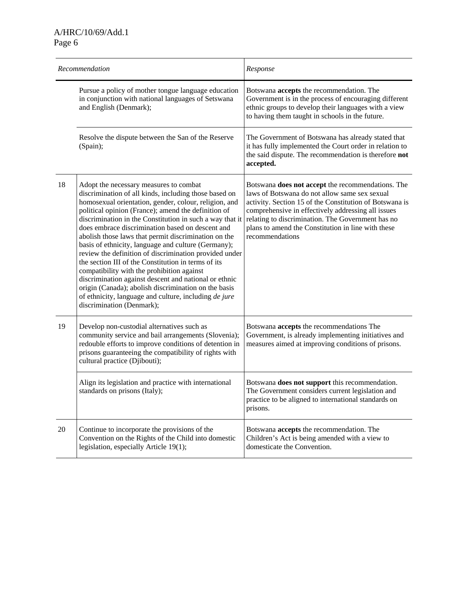| Recommendation |                                                                                                                                                                                                                                                                                                                                                                                                                                                                                                                                                                                                                                                                                                                                                                                                                      | Response                                                                                                                                                                                                                                                                                                                                          |
|----------------|----------------------------------------------------------------------------------------------------------------------------------------------------------------------------------------------------------------------------------------------------------------------------------------------------------------------------------------------------------------------------------------------------------------------------------------------------------------------------------------------------------------------------------------------------------------------------------------------------------------------------------------------------------------------------------------------------------------------------------------------------------------------------------------------------------------------|---------------------------------------------------------------------------------------------------------------------------------------------------------------------------------------------------------------------------------------------------------------------------------------------------------------------------------------------------|
|                | Pursue a policy of mother tongue language education<br>in conjunction with national languages of Setswana<br>and English (Denmark);                                                                                                                                                                                                                                                                                                                                                                                                                                                                                                                                                                                                                                                                                  | Botswana <b>accepts</b> the recommendation. The<br>Government is in the process of encouraging different<br>ethnic groups to develop their languages with a view<br>to having them taught in schools in the future.                                                                                                                               |
|                | Resolve the dispute between the San of the Reserve<br>(Spain);                                                                                                                                                                                                                                                                                                                                                                                                                                                                                                                                                                                                                                                                                                                                                       | The Government of Botswana has already stated that<br>it has fully implemented the Court order in relation to<br>the said dispute. The recommendation is therefore not<br>accepted.                                                                                                                                                               |
| 18             | Adopt the necessary measures to combat<br>discrimination of all kinds, including those based on<br>homosexual orientation, gender, colour, religion, and<br>political opinion (France); amend the definition of<br>discrimination in the Constitution in such a way that it<br>does embrace discrimination based on descent and<br>abolish those laws that permit discrimination on the<br>basis of ethnicity, language and culture (Germany);<br>review the definition of discrimination provided under<br>the section III of the Constitution in terms of its<br>compatibility with the prohibition against<br>discrimination against descent and national or ethnic<br>origin (Canada); abolish discrimination on the basis<br>of ethnicity, language and culture, including de jure<br>discrimination (Denmark); | Botswana does not accept the recommendations. The<br>laws of Botswana do not allow same sex sexual<br>activity. Section 15 of the Constitution of Botswana is<br>comprehensive in effectively addressing all issues<br>relating to discrimination. The Government has no<br>plans to amend the Constitution in line with these<br>recommendations |
| 19             | Develop non-custodial alternatives such as<br>community service and bail arrangements (Slovenia);<br>redouble efforts to improve conditions of detention in<br>prisons guaranteeing the compatibility of rights with<br>cultural practice (Djibouti);                                                                                                                                                                                                                                                                                                                                                                                                                                                                                                                                                                | Botswana accepts the recommendations The<br>Government, is already implementing initiatives and<br>measures aimed at improving conditions of prisons.                                                                                                                                                                                             |
|                | Align its legislation and practice with international<br>standards on prisons (Italy);                                                                                                                                                                                                                                                                                                                                                                                                                                                                                                                                                                                                                                                                                                                               | Botswana does not support this recommendation.<br>The Government considers current legislation and<br>practice to be aligned to international standards on<br>prisons.                                                                                                                                                                            |
| 20             | Continue to incorporate the provisions of the<br>Convention on the Rights of the Child into domestic<br>legislation, especially Article 19(1);                                                                                                                                                                                                                                                                                                                                                                                                                                                                                                                                                                                                                                                                       | Botswana accepts the recommendation. The<br>Children's Act is being amended with a view to<br>domesticate the Convention.                                                                                                                                                                                                                         |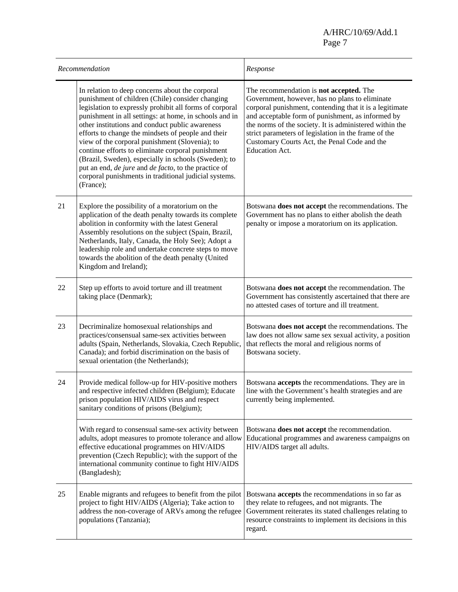A/HRC/10/69/Add.1<br>Page 7 Page 7

| Recommendation |                                                                                                                                                                                                                                                                                                                                                                                                                                                                                                                                                                                                                                | Response                                                                                                                                                                                                                                                                                                                                                                                              |
|----------------|--------------------------------------------------------------------------------------------------------------------------------------------------------------------------------------------------------------------------------------------------------------------------------------------------------------------------------------------------------------------------------------------------------------------------------------------------------------------------------------------------------------------------------------------------------------------------------------------------------------------------------|-------------------------------------------------------------------------------------------------------------------------------------------------------------------------------------------------------------------------------------------------------------------------------------------------------------------------------------------------------------------------------------------------------|
|                | In relation to deep concerns about the corporal<br>punishment of children (Chile) consider changing<br>legislation to expressly prohibit all forms of corporal<br>punishment in all settings: at home, in schools and in<br>other institutions and conduct public awareness<br>efforts to change the mindsets of people and their<br>view of the corporal punishment (Slovenia); to<br>continue efforts to eliminate corporal punishment<br>(Brazil, Sweden), especially in schools (Sweden); to<br>put an end, de jure and de facto, to the practice of<br>corporal punishments in traditional judicial systems.<br>(France); | The recommendation is not accepted. The<br>Government, however, has no plans to eliminate<br>corporal punishment, contending that it is a legitimate<br>and acceptable form of punishment, as informed by<br>the norms of the society. It is administered within the<br>strict parameters of legislation in the frame of the<br>Customary Courts Act, the Penal Code and the<br><b>Education Act.</b> |
| 21             | Explore the possibility of a moratorium on the<br>application of the death penalty towards its complete<br>abolition in conformity with the latest General<br>Assembly resolutions on the subject (Spain, Brazil,<br>Netherlands, Italy, Canada, the Holy See); Adopt a<br>leadership role and undertake concrete steps to move<br>towards the abolition of the death penalty (United<br>Kingdom and Ireland);                                                                                                                                                                                                                 | Botswana <b>does not accept</b> the recommendations. The<br>Government has no plans to either abolish the death<br>penalty or impose a moratorium on its application.                                                                                                                                                                                                                                 |
| 22             | Step up efforts to avoid torture and ill treatment<br>taking place (Denmark);                                                                                                                                                                                                                                                                                                                                                                                                                                                                                                                                                  | Botswana does not accept the recommendation. The<br>Government has consistently ascertained that there are<br>no attested cases of torture and ill treatment.                                                                                                                                                                                                                                         |
| 23             | Decriminalize homosexual relationships and<br>practices/consensual same-sex activities between<br>adults (Spain, Netherlands, Slovakia, Czech Republic,<br>Canada); and forbid discrimination on the basis of<br>sexual orientation (the Netherlands);                                                                                                                                                                                                                                                                                                                                                                         | Botswana does not accept the recommendations. The<br>law does not allow same sex sexual activity, a position<br>that reflects the moral and religious norms of<br>Botswana society.                                                                                                                                                                                                                   |
| 24             | Provide medical follow-up for HIV-positive mothers<br>and respective infected children (Belgium); Educate<br>prison population HIV/AIDS virus and respect<br>sanitary conditions of prisons (Belgium);                                                                                                                                                                                                                                                                                                                                                                                                                         | Botswana accepts the recommendations. They are in<br>line with the Government's health strategies and are<br>currently being implemented.                                                                                                                                                                                                                                                             |
|                | With regard to consensual same-sex activity between<br>adults, adopt measures to promote tolerance and allow<br>effective educational programmes on HIV/AIDS<br>prevention (Czech Republic); with the support of the<br>international community continue to fight HIV/AIDS<br>(Bangladesh);                                                                                                                                                                                                                                                                                                                                    | Botswana does not accept the recommendation.<br>Educational programmes and awareness campaigns on<br>HIV/AIDS target all adults.                                                                                                                                                                                                                                                                      |
| 25             | Enable migrants and refugees to benefit from the pilot<br>project to fight HIV/AIDS (Algeria); Take action to<br>address the non-coverage of ARVs among the refugee<br>populations (Tanzania);                                                                                                                                                                                                                                                                                                                                                                                                                                 | Botswana accepts the recommendations in so far as<br>they relate to refugees, and not migrants. The<br>Government reiterates its stated challenges relating to<br>resource constraints to implement its decisions in this<br>regard.                                                                                                                                                                  |